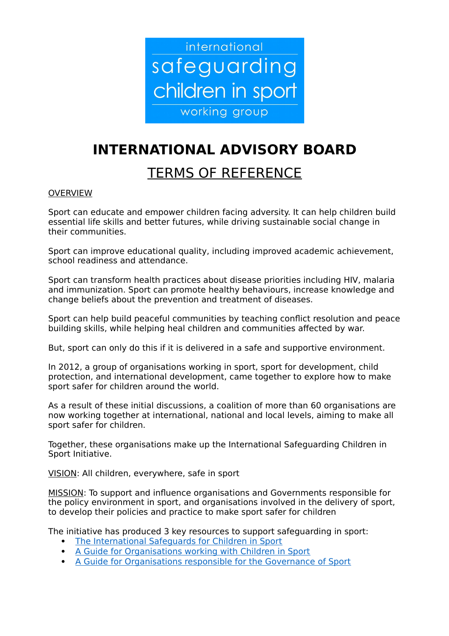

# **INTERNATIONAL ADVISORY BOARD**

## TERMS OF REFERENCE

## **OVERVIEW**

Sport can educate and empower children facing adversity. It can help children build essential life skills and better futures, while driving sustainable social change in their communities.

Sport can improve educational quality, including improved academic achievement, school readiness and attendance.

Sport can transform health practices about disease priorities including HIV, malaria and immunization. Sport can promote healthy behaviours, increase knowledge and change beliefs about the prevention and treatment of diseases.

Sport can help build peaceful communities by teaching conflict resolution and peace building skills, while helping heal children and communities affected by war.

But, sport can only do this if it is delivered in a safe and supportive environment.

In 2012, a group of organisations working in sport, sport for development, child protection, and international development, came together to explore how to make sport safer for children around the world.

As a result of these initial discussions, a coalition of more than 60 organisations are now working together at international, national and local levels, aiming to make all sport safer for children.

Together, these organisations make up the International Safeguarding Children in Sport Initiative.

VISION: All children, everywhere, safe in sport

MISSION: To support and influence organisations and Governments responsible for the policy environment in sport, and organisations involved in the delivery of sport, to develop their policies and practice to make sport safer for children

The initiative has produced 3 key resources to support safeguarding in sport:

- [The International Safeguards for Children in Sport](https://www.sportanddev.org/sites/default/files/downloads/international-safeguards-for-children-in-sport-version-to-view-online.pdf)
- [A Guide for Organisations working with Children in Sport](https://www.sportanddev.org/sites/default/files/media/implementation-guide-for-organisations-who-work-with-children-a5-version-re.pdf)
- [A Guide for Organisations responsible for the Governance of Sport](https://www.sportanddev.org/sites/default/files/media/implementation-guide-for-anyone-supporting-or-governing-organisations-working-with-children-a5-version-re.pdf)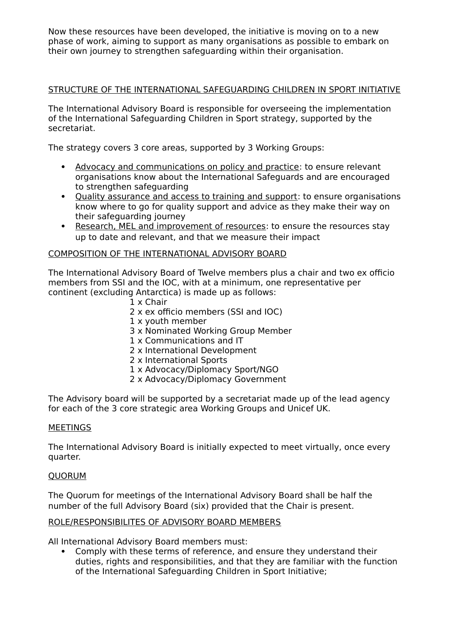Now these resources have been developed, the initiative is moving on to a new phase of work, aiming to support as many organisations as possible to embark on their own journey to strengthen safeguarding within their organisation.

## STRUCTURE OF THE INTERNATIONAL SAFEGUARDING CHILDREN IN SPORT INITIATIVE

The International Advisory Board is responsible for overseeing the implementation of the International Safeguarding Children in Sport strategy, supported by the secretariat.

The strategy covers 3 core areas, supported by 3 Working Groups:

- Advocacy and communications on policy and practice: to ensure relevant organisations know about the International Safeguards and are encouraged to strengthen safeguarding
- Quality assurance and access to training and support: to ensure organisations know where to go for quality support and advice as they make their way on their safeguarding journey
- Research, MEL and improvement of resources: to ensure the resources stay up to date and relevant, and that we measure their impact

## COMPOSITION OF THE INTERNATIONAL ADVISORY BOARD

The International Advisory Board of Twelve members plus a chair and two ex officio members from SSI and the IOC, with at a minimum, one representative per continent (excluding Antarctica) is made up as follows:

- 1 x Chair
- 2 x ex officio members (SSI and IOC)
- 1 x youth member
- 3 x Nominated Working Group Member
- 1 x Communications and IT
- 2 x International Development
- 2 x International Sports
- 1 x Advocacy/Diplomacy Sport/NGO
- 2 x Advocacy/Diplomacy Government

The Advisory board will be supported by a secretariat made up of the lead agency for each of the 3 core strategic area Working Groups and Unicef UK.

#### **MEETINGS**

The International Advisory Board is initially expected to meet virtually, once every quarter.

#### **OUORUM**

The Quorum for meetings of the International Advisory Board shall be half the number of the full Advisory Board (six) provided that the Chair is present.

#### ROLE/RESPONSIBILITES OF ADVISORY BOARD MEMBERS

All International Advisory Board members must:

 Comply with these terms of reference, and ensure they understand their duties, rights and responsibilities, and that they are familiar with the function of the International Safeguarding Children in Sport Initiative;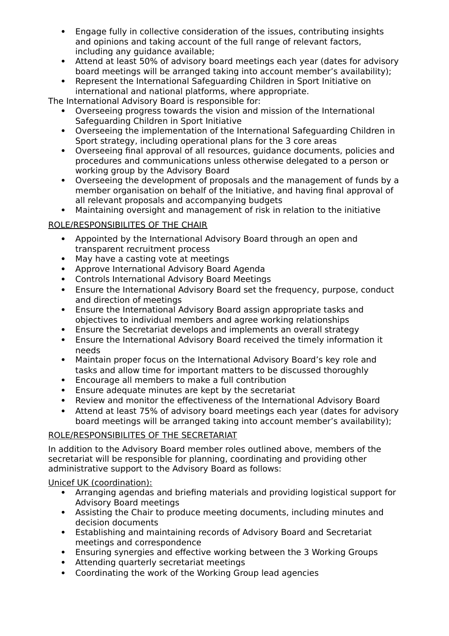- Engage fully in collective consideration of the issues, contributing insights and opinions and taking account of the full range of relevant factors, including any guidance available;
- Attend at least 50% of advisory board meetings each year (dates for advisory board meetings will be arranged taking into account member's availability);
- Represent the International Safeguarding Children in Sport Initiative on international and national platforms, where appropriate.

The International Advisory Board is responsible for:

- Overseeing progress towards the vision and mission of the International Safeguarding Children in Sport Initiative
- Overseeing the implementation of the International Safeguarding Children in Sport strategy, including operational plans for the 3 core areas
- Overseeing final approval of all resources, guidance documents, policies and procedures and communications unless otherwise delegated to a person or working group by the Advisory Board
- Overseeing the development of proposals and the management of funds by a member organisation on behalf of the Initiative, and having final approval of all relevant proposals and accompanying budgets
- Maintaining oversight and management of risk in relation to the initiative

## ROLE/RESPONSIBILITES OF THE CHAIR

- Appointed by the International Advisory Board through an open and transparent recruitment process
- May have a casting vote at meetings
- Approve International Advisory Board Agenda
- Controls International Advisory Board Meetings
- Ensure the International Advisory Board set the frequency, purpose, conduct and direction of meetings
- Ensure the International Advisory Board assign appropriate tasks and objectives to individual members and agree working relationships
- Ensure the Secretariat develops and implements an overall strategy
- Ensure the International Advisory Board received the timely information it needs
- Maintain proper focus on the International Advisory Board's key role and tasks and allow time for important matters to be discussed thoroughly
- Encourage all members to make a full contribution
- Ensure adequate minutes are kept by the secretariat
- Review and monitor the effectiveness of the International Advisory Board
- Attend at least 75% of advisory board meetings each year (dates for advisory board meetings will be arranged taking into account member's availability);

## ROLE/RESPONSIBILITES OF THE SECRETARIAT

In addition to the Advisory Board member roles outlined above, members of the secretariat will be responsible for planning, coordinating and providing other administrative support to the Advisory Board as follows:

## Unicef UK (coordination):

- Arranging agendas and briefing materials and providing logistical support for Advisory Board meetings
- Assisting the Chair to produce meeting documents, including minutes and decision documents
- Establishing and maintaining records of Advisory Board and Secretariat meetings and correspondence
- Ensuring synergies and effective working between the 3 Working Groups
- Attending quarterly secretariat meetings
- Coordinating the work of the Working Group lead agencies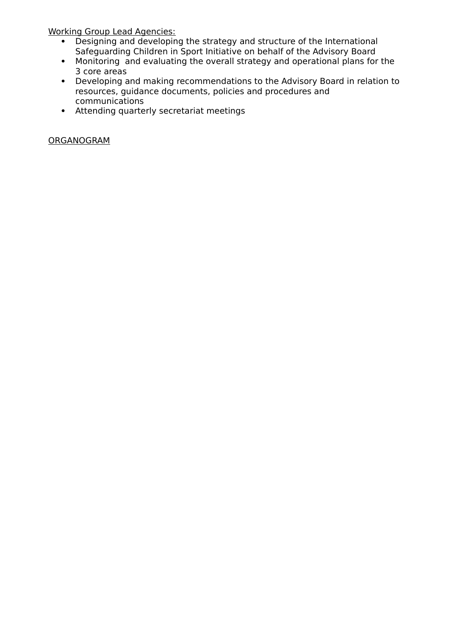Working Group Lead Agencies:

- Designing and developing the strategy and structure of the International Safeguarding Children in Sport Initiative on behalf of the Advisory Board
- Monitoring and evaluating the overall strategy and operational plans for the 3 core areas
- Developing and making recommendations to the Advisory Board in relation to resources, guidance documents, policies and procedures and communications
- Attending quarterly secretariat meetings

## ORGANOGRAM